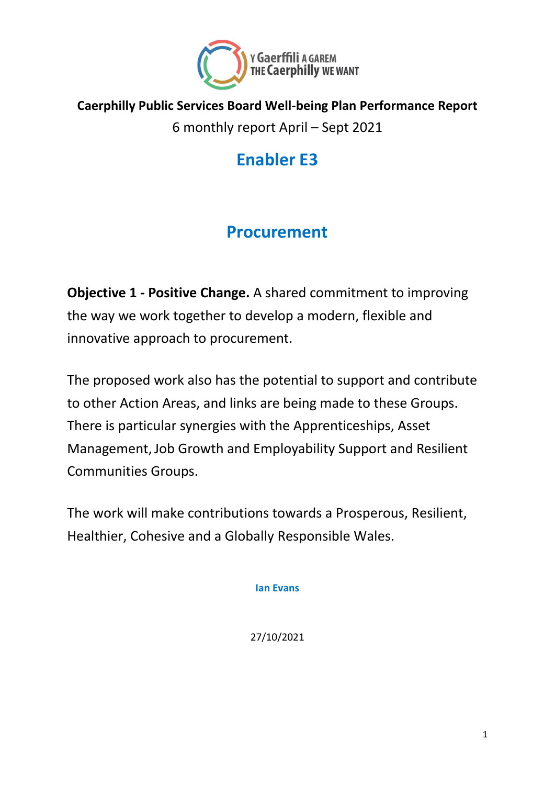

#### **Caerphilly Public Services Board Well-being Plan Performance Report**

6 monthly report April – Sept 2021

# **Enabler E3**

#### **Procurement**

**Objective 1 - Positive Change.** A shared commitment to improving the way we work together to develop a modern, flexible and innovative approach to procurement.

The proposed work also has the potential to support and contribute to other Action Areas, and links are being made to these Groups. There is particular synergies with the Apprenticeships, Asset Management,Job Growth and Employability Support and Resilient Communities Groups.

The work will make contributions towards a Prosperous, Resilient, Healthier, Cohesive and a Globally Responsible Wales.

**Ian Evans**

27/10/2021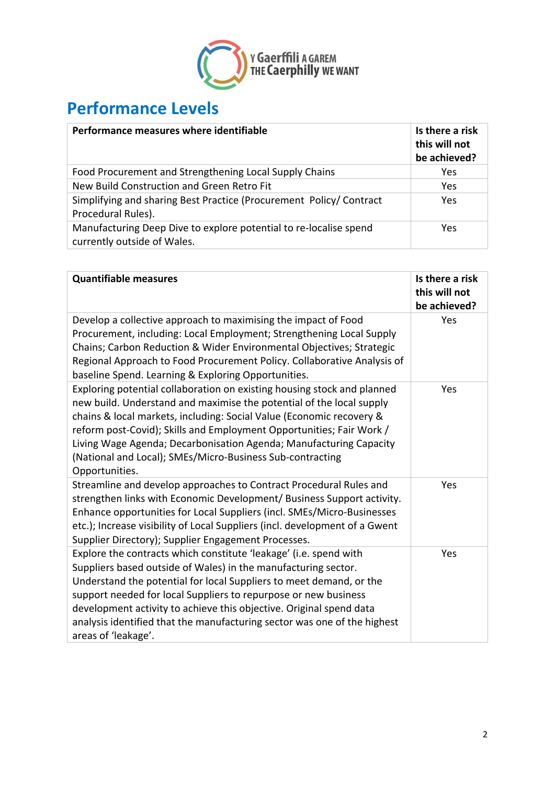

## **Performance Levels**

| Performance measures where identifiable                                                          | Is there a risk<br>this will not<br>be achieved? |
|--------------------------------------------------------------------------------------------------|--------------------------------------------------|
| Food Procurement and Strengthening Local Supply Chains                                           | Yes                                              |
| New Build Construction and Green Retro Fit                                                       | Yes                                              |
| Simplifying and sharing Best Practice (Procurement Policy/ Contract<br>Procedural Rules).        | Yes                                              |
| Manufacturing Deep Dive to explore potential to re-localise spend<br>currently outside of Wales. | Yes                                              |

| <b>Quantifiable measures</b>                                                                                                                                                                                                                                                                                                                                                                                                                            | Is there a risk<br>this will not<br>be achieved? |
|---------------------------------------------------------------------------------------------------------------------------------------------------------------------------------------------------------------------------------------------------------------------------------------------------------------------------------------------------------------------------------------------------------------------------------------------------------|--------------------------------------------------|
| Develop a collective approach to maximising the impact of Food<br>Procurement, including: Local Employment; Strengthening Local Supply<br>Chains; Carbon Reduction & Wider Environmental Objectives; Strategic<br>Regional Approach to Food Procurement Policy. Collaborative Analysis of<br>baseline Spend. Learning & Exploring Opportunities.                                                                                                        | Yes                                              |
| Exploring potential collaboration on existing housing stock and planned<br>new build. Understand and maximise the potential of the local supply<br>chains & local markets, including: Social Value (Economic recovery &<br>reform post-Covid); Skills and Employment Opportunities; Fair Work /<br>Living Wage Agenda; Decarbonisation Agenda; Manufacturing Capacity<br>(National and Local); SMEs/Micro-Business Sub-contracting<br>Opportunities.    | Yes                                              |
| Streamline and develop approaches to Contract Procedural Rules and<br>strengthen links with Economic Development/ Business Support activity.<br>Enhance opportunities for Local Suppliers (incl. SMEs/Micro-Businesses<br>etc.); Increase visibility of Local Suppliers (incl. development of a Gwent<br>Supplier Directory); Supplier Engagement Processes.                                                                                            | Yes                                              |
| Explore the contracts which constitute 'leakage' (i.e. spend with<br>Suppliers based outside of Wales) in the manufacturing sector.<br>Understand the potential for local Suppliers to meet demand, or the<br>support needed for local Suppliers to repurpose or new business<br>development activity to achieve this objective. Original spend data<br>analysis identified that the manufacturing sector was one of the highest<br>areas of 'leakage'. | Yes                                              |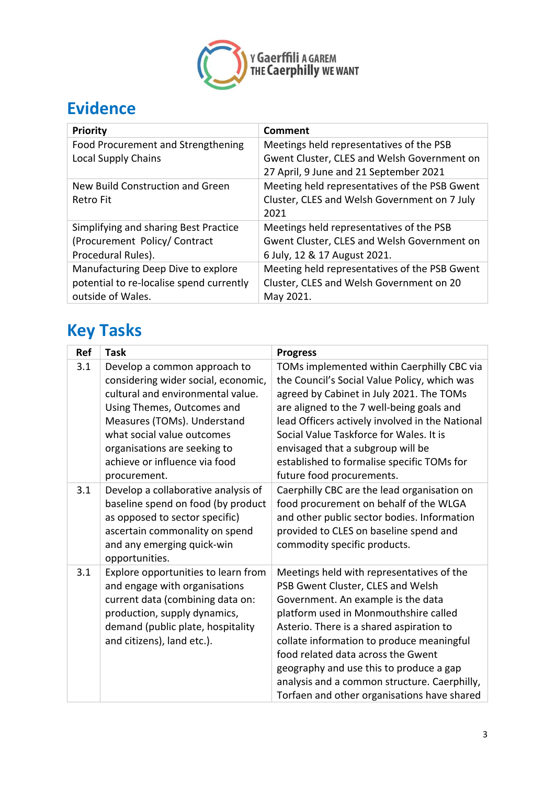

## **Evidence**

| <b>Priority</b>                               | Comment                                                                                                                                         |
|-----------------------------------------------|-------------------------------------------------------------------------------------------------------------------------------------------------|
| Food Procurement and Strengthening            | Meetings held representatives of the PSB                                                                                                        |
| <b>Local Supply Chains</b>                    | Gwent Cluster, CLES and Welsh Government on                                                                                                     |
| New Build Construction and Green<br>Retro Fit | 27 April, 9 June and 21 September 2021<br>Meeting held representatives of the PSB Gwent<br>Cluster, CLES and Welsh Government on 7 July<br>2021 |
| Simplifying and sharing Best Practice         | Meetings held representatives of the PSB                                                                                                        |
| (Procurement Policy/Contract                  | Gwent Cluster, CLES and Welsh Government on                                                                                                     |
| Procedural Rules).                            | 6 July, 12 & 17 August 2021.                                                                                                                    |
| Manufacturing Deep Dive to explore            | Meeting held representatives of the PSB Gwent                                                                                                   |
| potential to re-localise spend currently      | Cluster, CLES and Welsh Government on 20                                                                                                        |
| outside of Wales.                             | May 2021.                                                                                                                                       |

# **Key Tasks**

| Ref | <b>Task</b>                                                                                                                                                                                                                                                                          | <b>Progress</b>                                                                                                                                                                                                                                                                                                                                                                                                                        |
|-----|--------------------------------------------------------------------------------------------------------------------------------------------------------------------------------------------------------------------------------------------------------------------------------------|----------------------------------------------------------------------------------------------------------------------------------------------------------------------------------------------------------------------------------------------------------------------------------------------------------------------------------------------------------------------------------------------------------------------------------------|
| 3.1 | Develop a common approach to<br>considering wider social, economic,<br>cultural and environmental value.<br>Using Themes, Outcomes and<br>Measures (TOMs). Understand<br>what social value outcomes<br>organisations are seeking to<br>achieve or influence via food<br>procurement. | TOMs implemented within Caerphilly CBC via<br>the Council's Social Value Policy, which was<br>agreed by Cabinet in July 2021. The TOMs<br>are aligned to the 7 well-being goals and<br>lead Officers actively involved in the National<br>Social Value Taskforce for Wales. It is<br>envisaged that a subgroup will be<br>established to formalise specific TOMs for<br>future food procurements.                                      |
| 3.1 | Develop a collaborative analysis of<br>baseline spend on food (by product<br>as opposed to sector specific)<br>ascertain commonality on spend<br>and any emerging quick-win<br>opportunities.                                                                                        | Caerphilly CBC are the lead organisation on<br>food procurement on behalf of the WLGA<br>and other public sector bodies. Information<br>provided to CLES on baseline spend and<br>commodity specific products.                                                                                                                                                                                                                         |
| 3.1 | Explore opportunities to learn from<br>and engage with organisations<br>current data (combining data on:<br>production, supply dynamics,<br>demand (public plate, hospitality<br>and citizens), land etc.).                                                                          | Meetings held with representatives of the<br>PSB Gwent Cluster, CLES and Welsh<br>Government. An example is the data<br>platform used in Monmouthshire called<br>Asterio. There is a shared aspiration to<br>collate information to produce meaningful<br>food related data across the Gwent<br>geography and use this to produce a gap<br>analysis and a common structure. Caerphilly,<br>Torfaen and other organisations have shared |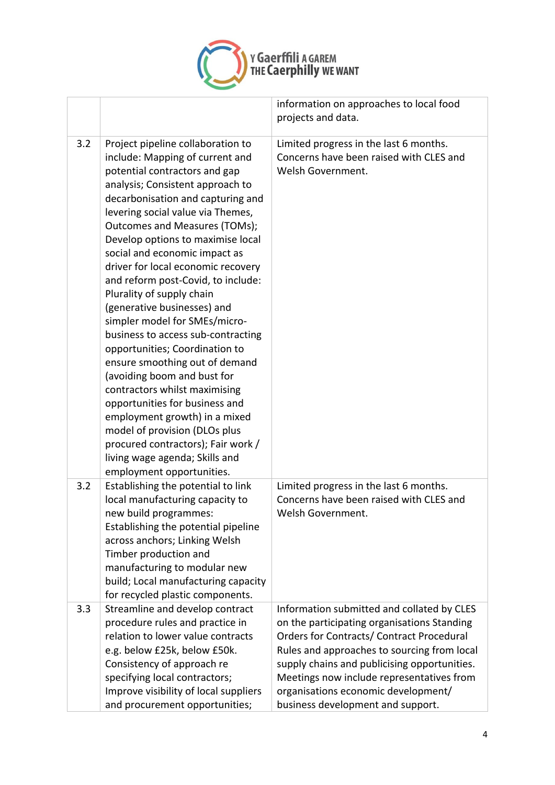

|     |                                                                                                                                                                                                                                                                                                                                                                                                                                                                                                                                                                                                                                                                                                                                                                                                                                                                                        | information on approaches to local food<br>projects and data.                                                                                                                                                                                                                                                                                                  |
|-----|----------------------------------------------------------------------------------------------------------------------------------------------------------------------------------------------------------------------------------------------------------------------------------------------------------------------------------------------------------------------------------------------------------------------------------------------------------------------------------------------------------------------------------------------------------------------------------------------------------------------------------------------------------------------------------------------------------------------------------------------------------------------------------------------------------------------------------------------------------------------------------------|----------------------------------------------------------------------------------------------------------------------------------------------------------------------------------------------------------------------------------------------------------------------------------------------------------------------------------------------------------------|
| 3.2 | Project pipeline collaboration to<br>include: Mapping of current and<br>potential contractors and gap<br>analysis; Consistent approach to<br>decarbonisation and capturing and<br>levering social value via Themes,<br>Outcomes and Measures (TOMs);<br>Develop options to maximise local<br>social and economic impact as<br>driver for local economic recovery<br>and reform post-Covid, to include:<br>Plurality of supply chain<br>(generative businesses) and<br>simpler model for SMEs/micro-<br>business to access sub-contracting<br>opportunities; Coordination to<br>ensure smoothing out of demand<br>(avoiding boom and bust for<br>contractors whilst maximising<br>opportunities for business and<br>employment growth) in a mixed<br>model of provision (DLOs plus<br>procured contractors); Fair work /<br>living wage agenda; Skills and<br>employment opportunities. | Limited progress in the last 6 months.<br>Concerns have been raised with CLES and<br>Welsh Government.                                                                                                                                                                                                                                                         |
| 3.2 | Establishing the potential to link<br>local manufacturing capacity to<br>new build programmes:<br>Establishing the potential pipeline<br>across anchors; Linking Welsh<br>Timber production and<br>manufacturing to modular new<br>build; Local manufacturing capacity<br>for recycled plastic components.                                                                                                                                                                                                                                                                                                                                                                                                                                                                                                                                                                             | Limited progress in the last 6 months.<br>Concerns have been raised with CLES and<br>Welsh Government.                                                                                                                                                                                                                                                         |
| 3.3 | Streamline and develop contract<br>procedure rules and practice in<br>relation to lower value contracts<br>e.g. below £25k, below £50k.<br>Consistency of approach re<br>specifying local contractors;<br>Improve visibility of local suppliers<br>and procurement opportunities;                                                                                                                                                                                                                                                                                                                                                                                                                                                                                                                                                                                                      | Information submitted and collated by CLES<br>on the participating organisations Standing<br>Orders for Contracts/ Contract Procedural<br>Rules and approaches to sourcing from local<br>supply chains and publicising opportunities.<br>Meetings now include representatives from<br>organisations economic development/<br>business development and support. |